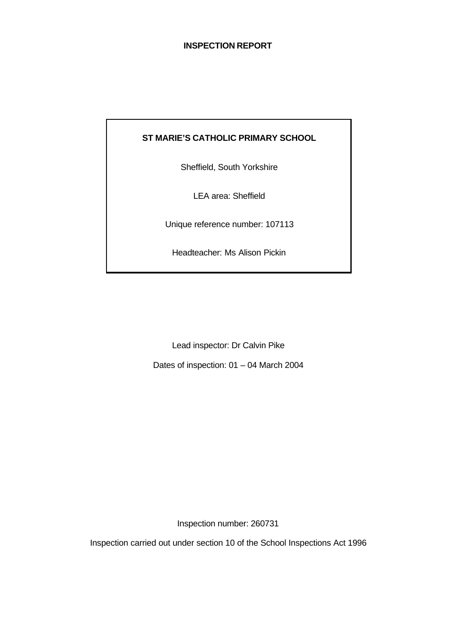# **INSPECTION REPORT**

# **ST MARIE'S CATHOLIC PRIMARY SCHOOL**

Sheffield, South Yorkshire

LEA area: Sheffield

Unique reference number: 107113

Headteacher: Ms Alison Pickin

Lead inspector: Dr Calvin Pike

Dates of inspection: 01 – 04 March 2004

Inspection number: 260731

Inspection carried out under section 10 of the School Inspections Act 1996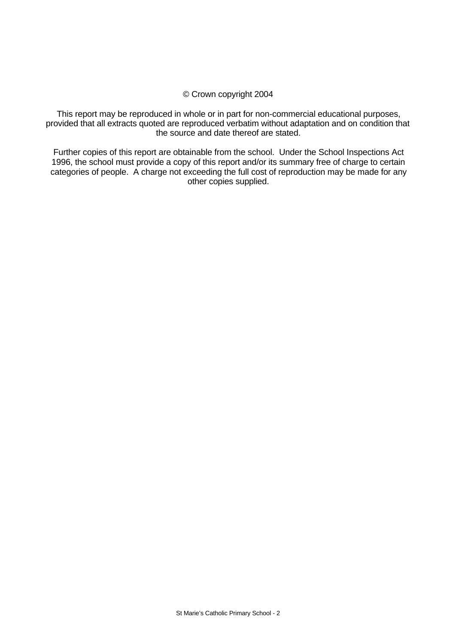#### © Crown copyright 2004

This report may be reproduced in whole or in part for non-commercial educational purposes, provided that all extracts quoted are reproduced verbatim without adaptation and on condition that the source and date thereof are stated.

Further copies of this report are obtainable from the school. Under the School Inspections Act 1996, the school must provide a copy of this report and/or its summary free of charge to certain categories of people. A charge not exceeding the full cost of reproduction may be made for any other copies supplied.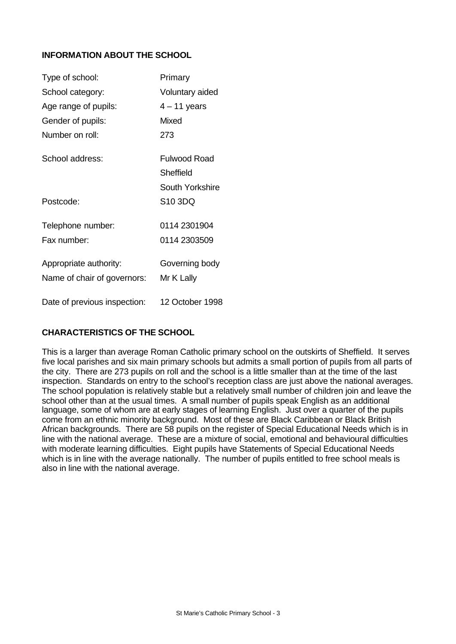# **INFORMATION ABOUT THE SCHOOL**

| Type of school:              | Primary             |
|------------------------------|---------------------|
| School category:             | Voluntary aided     |
| Age range of pupils:         | $4 - 11$ years      |
| Gender of pupils:            | Mixed               |
| Number on roll:              | 273                 |
| School address:              | <b>Fulwood Road</b> |
|                              | Sheffield           |
|                              | South Yorkshire     |
| Postcode:                    | S10 3DQ             |
| Telephone number:            | 0114 2301904        |
| Fax number:                  | 0114 2303509        |
| Appropriate authority:       | Governing body      |
| Name of chair of governors:  | Mr K Lally          |
| Date of previous inspection: | 12 October 1998     |

# **CHARACTERISTICS OF THE SCHOOL**

This is a larger than average Roman Catholic primary school on the outskirts of Sheffield. It serves five local parishes and six main primary schools but admits a small portion of pupils from all parts of the city. There are 273 pupils on roll and the school is a little smaller than at the time of the last inspection. Standards on entry to the school's reception class are just above the national averages. The school population is relatively stable but a relatively small number of children join and leave the school other than at the usual times. A small number of pupils speak English as an additional language, some of whom are at early stages of learning English. Just over a quarter of the pupils come from an ethnic minority background. Most of these are Black Caribbean or Black British African backgrounds. There are 58 pupils on the register of Special Educational Needs which is in line with the national average. These are a mixture of social, emotional and behavioural difficulties with moderate learning difficulties. Eight pupils have Statements of Special Educational Needs which is in line with the average nationally. The number of pupils entitled to free school meals is also in line with the national average.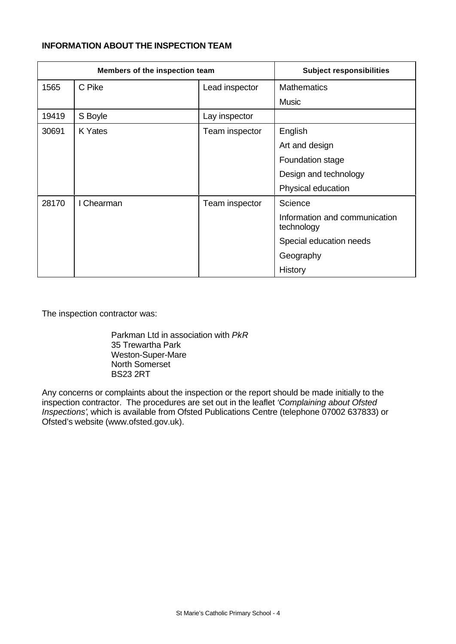# **INFORMATION ABOUT THE INSPECTION TEAM**

| Members of the inspection team |            | <b>Subject responsibilities</b> |                                             |
|--------------------------------|------------|---------------------------------|---------------------------------------------|
| 1565                           | C Pike     | Lead inspector                  | <b>Mathematics</b>                          |
|                                |            |                                 | <b>Music</b>                                |
| 19419                          | S Boyle    | Lay inspector                   |                                             |
| 30691                          | K Yates    | Team inspector                  | English                                     |
|                                |            |                                 | Art and design                              |
|                                |            |                                 | Foundation stage                            |
|                                |            |                                 | Design and technology                       |
|                                |            |                                 | Physical education                          |
| 28170                          | I Chearman | Team inspector                  | Science                                     |
|                                |            |                                 | Information and communication<br>technology |
|                                |            |                                 | Special education needs                     |
|                                |            |                                 | Geography                                   |
|                                |            |                                 | History                                     |

The inspection contractor was:

Parkman Ltd in association with *PkR* 35 Trewartha Park Weston-Super-Mare North Somerset BS23 2RT

Any concerns or complaints about the inspection or the report should be made initially to the inspection contractor. The procedures are set out in the leaflet *'Complaining about Ofsted Inspections'*, which is available from Ofsted Publications Centre (telephone 07002 637833) or Ofsted's website (www.ofsted.gov.uk).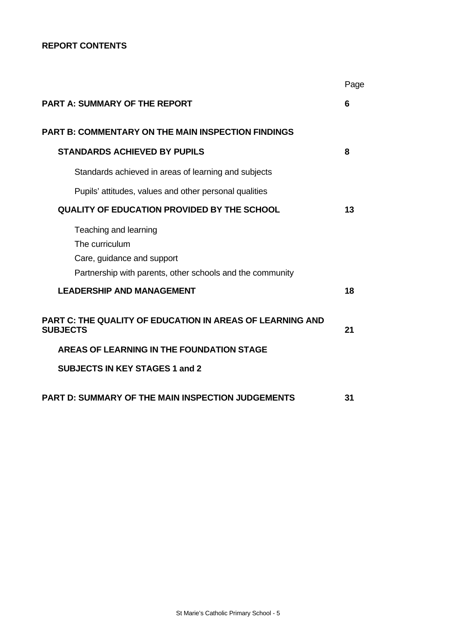# **REPORT CONTENTS**

|                                                                                                                                    | Page |
|------------------------------------------------------------------------------------------------------------------------------------|------|
| <b>PART A: SUMMARY OF THE REPORT</b>                                                                                               | 6    |
| <b>PART B: COMMENTARY ON THE MAIN INSPECTION FINDINGS</b>                                                                          |      |
| <b>STANDARDS ACHIEVED BY PUPILS</b>                                                                                                | 8    |
| Standards achieved in areas of learning and subjects                                                                               |      |
| Pupils' attitudes, values and other personal qualities                                                                             |      |
| <b>QUALITY OF EDUCATION PROVIDED BY THE SCHOOL</b>                                                                                 | 13   |
| Teaching and learning<br>The curriculum<br>Care, guidance and support<br>Partnership with parents, other schools and the community |      |
| <b>LEADERSHIP AND MANAGEMENT</b>                                                                                                   | 18   |
| PART C: THE QUALITY OF EDUCATION IN AREAS OF LEARNING AND<br><b>SUBJECTS</b>                                                       | 21   |
| AREAS OF LEARNING IN THE FOUNDATION STAGE                                                                                          |      |
| <b>SUBJECTS IN KEY STAGES 1 and 2</b>                                                                                              |      |
| <b>PART D: SUMMARY OF THE MAIN INSPECTION JUDGEMENTS</b>                                                                           | 31   |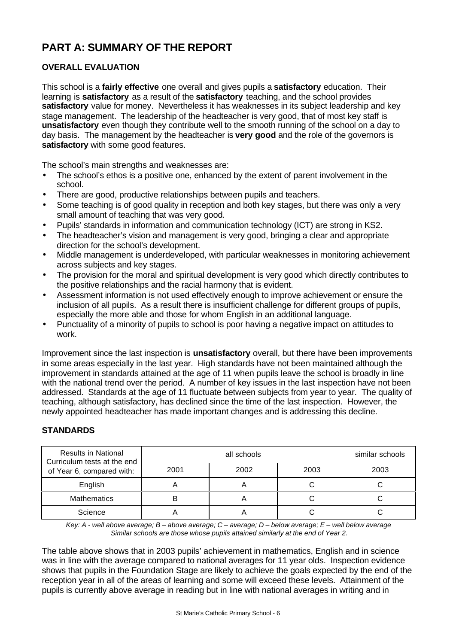# **PART A: SUMMARY OF THE REPORT**

# **OVERALL EVALUATION**

This school is a **fairly effective** one overall and gives pupils a **satisfactory** education. Their learning is **satisfactory** as a result of the **satisfactory** teaching, and the school provides **satisfactory** value for money. Nevertheless it has weaknesses in its subject leadership and key stage management. The leadership of the headteacher is very good, that of most key staff is **unsatisfactory** even though they contribute well to the smooth running of the school on a day to day basis. The management by the headteacher is **very good** and the role of the governors is **satisfactory** with some good features.

The school's main strengths and weaknesses are:

- The school's ethos is a positive one, enhanced by the extent of parent involvement in the school.
- There are good, productive relationships between pupils and teachers.
- Some teaching is of good quality in reception and both key stages, but there was only a very small amount of teaching that was very good.
- Pupils' standards in information and communication technology (ICT) are strong in KS2.
- The headteacher's vision and management is very good, bringing a clear and appropriate direction for the school's development.
- Middle management is underdeveloped, with particular weaknesses in monitoring achievement across subjects and key stages.
- The provision for the moral and spiritual development is very good which directly contributes to the positive relationships and the racial harmony that is evident.
- Assessment information is not used effectively enough to improve achievement or ensure the inclusion of all pupils. As a result there is insufficient challenge for different groups of pupils, especially the more able and those for whom English in an additional language.
- Punctuality of a minority of pupils to school is poor having a negative impact on attitudes to work.

Improvement since the last inspection is **unsatisfactory** overall, but there have been improvements in some areas especially in the last year. High standards have not been maintained although the improvement in standards attained at the age of 11 when pupils leave the school is broadly in line with the national trend over the period. A number of key issues in the last inspection have not been addressed. Standards at the age of 11 fluctuate between subjects from year to year. The quality of teaching, although satisfactory, has declined since the time of the last inspection. However, the newly appointed headteacher has made important changes and is addressing this decline.

# **STANDARDS**

| <b>Results in National</b><br>Curriculum tests at the end |      | similar schools |      |      |
|-----------------------------------------------------------|------|-----------------|------|------|
| of Year 6, compared with:                                 | 2001 | 2002            | 2003 | 2003 |
| English                                                   | n    |                 |      |      |
| <b>Mathematics</b>                                        | B    |                 |      |      |
| Science                                                   |      |                 |      |      |

*Key: A - well above average; B – above average; C – average; D – below average; E – well below average Similar schools are those whose pupils attained similarly at the end of Year 2.*

The table above shows that in 2003 pupils' achievement in mathematics, English and in science was in line with the average compared to national averages for 11 year olds. Inspection evidence shows that pupils in the Foundation Stage are likely to achieve the goals expected by the end of the reception year in all of the areas of learning and some will exceed these levels. Attainment of the pupils is currently above average in reading but in line with national averages in writing and in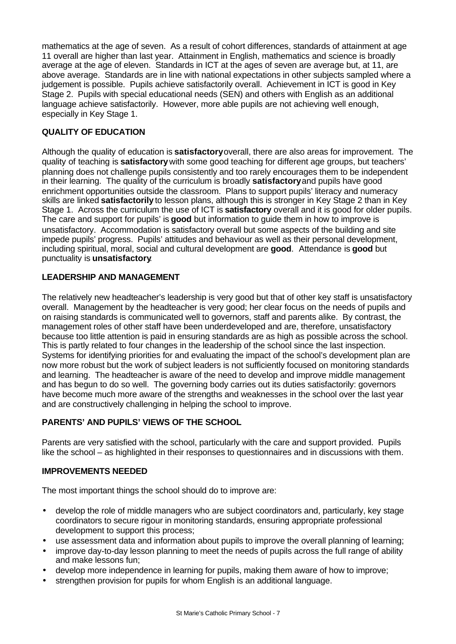mathematics at the age of seven. As a result of cohort differences, standards of attainment at age 11 overall are higher than last year. Attainment in English, mathematics and science is broadly average at the age of eleven. Standards in ICT at the ages of seven are average but, at 11, are above average. Standards are in line with national expectations in other subjects sampled where a judgement is possible. Pupils achieve satisfactorily overall. Achievement in ICT is good in Key Stage 2. Pupils with special educational needs (SEN) and others with English as an additional language achieve satisfactorily. However, more able pupils are not achieving well enough, especially in Key Stage 1.

# **QUALITY OF EDUCATION**

Although the quality of education is **satisfactory** overall, there are also areas for improvement. The quality of teaching is **satisfactory** with some good teaching for different age groups, but teachers' planning does not challenge pupils consistently and too rarely encourages them to be independent in their learning. The quality of the curriculum is broadly **satisfactory** and pupils have good enrichment opportunities outside the classroom. Plans to support pupils' literacy and numeracy skills are linked **satisfactorily** to lesson plans, although this is stronger in Key Stage 2 than in Key Stage 1. Across the curriculum the use of ICT is **satisfactory** overall and it is good for older pupils. The care and support for pupils' is **good** but information to guide them in how to improve is unsatisfactory. Accommodation is satisfactory overall but some aspects of the building and site impede pupils' progress. Pupils' attitudes and behaviour as well as their personal development, including spiritual, moral, social and cultural development are **good**.Attendance is **good** but punctuality is **unsatisfactory**.

# **LEADERSHIP AND MANAGEMENT**

The relatively new headteacher's leadership is very good but that of other key staff is unsatisfactory overall. Management by the headteacher is very good; her clear focus on the needs of pupils and on raising standards is communicated well to governors, staff and parents alike. By contrast, the management roles of other staff have been underdeveloped and are, therefore, unsatisfactory because too little attention is paid in ensuring standards are as high as possible across the school. This is partly related to four changes in the leadership of the school since the last inspection. Systems for identifying priorities for and evaluating the impact of the school's development plan are now more robust but the work of subject leaders is not sufficiently focused on monitoring standards and learning. The headteacher is aware of the need to develop and improve middle management and has begun to do so well. The governing body carries out its duties satisfactorily: governors have become much more aware of the strengths and weaknesses in the school over the last year and are constructively challenging in helping the school to improve.

# **PARENTS' AND PUPILS' VIEWS OF THE SCHOOL**

Parents are very satisfied with the school, particularly with the care and support provided. Pupils like the school – as highlighted in their responses to questionnaires and in discussions with them*.*

# **IMPROVEMENTS NEEDED**

The most important things the school should do to improve are:

- develop the role of middle managers who are subject coordinators and, particularly, key stage coordinators to secure rigour in monitoring standards, ensuring appropriate professional development to support this process;
- use assessment data and information about pupils to improve the overall planning of learning;
- improve day-to-day lesson planning to meet the needs of pupils across the full range of ability and make lessons fun;
- develop more independence in learning for pupils, making them aware of how to improve;
- strengthen provision for pupils for whom English is an additional language.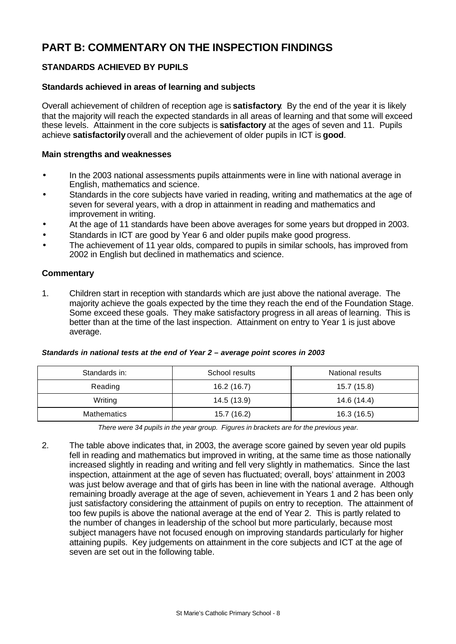# **PART B: COMMENTARY ON THE INSPECTION FINDINGS**

# **STANDARDS ACHIEVED BY PUPILS**

#### **Standards achieved in areas of learning and subjects**

Overall achievement of children of reception age is **satisfactory**.By the end of the year it is likely that the majority will reach the expected standards in all areas of learning and that some will exceed these levels. Attainment in the core subjects is **satisfactory** at the ages of seven and 11. Pupils achieve **satisfactorily** overall and the achievement of older pupils in ICT is **good**.

#### **Main strengths and weaknesses**

- In the 2003 national assessments pupils attainments were in line with national average in English, mathematics and science.
- Standards in the core subjects have varied in reading, writing and mathematics at the age of seven for several years, with a drop in attainment in reading and mathematics and improvement in writing.
- At the age of 11 standards have been above averages for some years but dropped in 2003.
- Standards in ICT are good by Year 6 and older pupils make good progress.
- The achievement of 11 year olds, compared to pupils in similar schools, has improved from 2002 in English but declined in mathematics and science.

#### **Commentary**

1. Children start in reception with standards which are just above the national average. The majority achieve the goals expected by the time they reach the end of the Foundation Stage. Some exceed these goals. They make satisfactory progress in all areas of learning. This is better than at the time of the last inspection. Attainment on entry to Year 1 is just above average.

| Standards in:      | School results | National results |
|--------------------|----------------|------------------|
| Reading            | 16.2(16.7)     | 15.7 (15.8)      |
| Writing            | 14.5 (13.9)    | 14.6 (14.4)      |
| <b>Mathematics</b> | 15.7 (16.2)    | 16.3 (16.5)      |

#### *Standards in national tests at the end of Year 2 – average point scores in 2003*

*There were 34 pupils in the year group. Figures in brackets are for the previous year.*

2. The table above indicates that, in 2003, the average score gained by seven year old pupils fell in reading and mathematics but improved in writing, at the same time as those nationally increased slightly in reading and writing and fell very slightly in mathematics. Since the last inspection, attainment at the age of seven has fluctuated; overall, boys' attainment in 2003 was just below average and that of girls has been in line with the national average. Although remaining broadly average at the age of seven, achievement in Years 1 and 2 has been only just satisfactory considering the attainment of pupils on entry to reception. The attainment of too few pupils is above the national average at the end of Year 2. This is partly related to the number of changes in leadership of the school but more particularly, because most subject managers have not focused enough on improving standards particularly for higher attaining pupils. Key judgements on attainment in the core subjects and ICT at the age of seven are set out in the following table.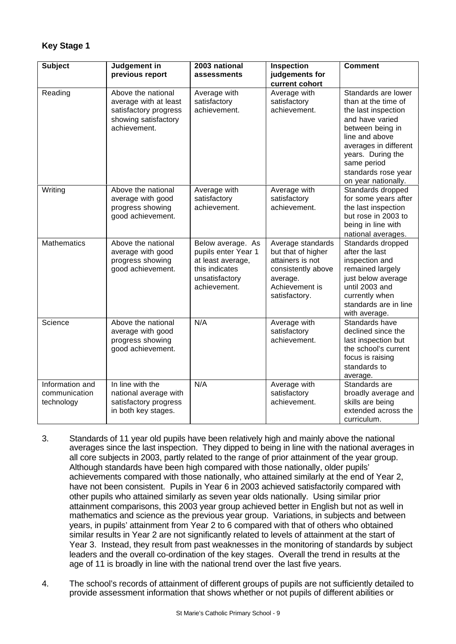# **Key Stage 1**

| <b>Subject</b>                                 | Judgement in<br>previous report                                                                              | 2003 national<br>assessments                                                                                      | Inspection<br>judgements for<br>current cohort                                                                                   | <b>Comment</b>                                                                                                                                                                                                                        |
|------------------------------------------------|--------------------------------------------------------------------------------------------------------------|-------------------------------------------------------------------------------------------------------------------|----------------------------------------------------------------------------------------------------------------------------------|---------------------------------------------------------------------------------------------------------------------------------------------------------------------------------------------------------------------------------------|
| Reading                                        | Above the national<br>average with at least<br>satisfactory progress<br>showing satisfactory<br>achievement. | Average with<br>satisfactory<br>achievement.                                                                      | Average with<br>satisfactory<br>achievement.                                                                                     | Standards are lower<br>than at the time of<br>the last inspection<br>and have varied<br>between being in<br>line and above<br>averages in different<br>years. During the<br>same period<br>standards rose year<br>on year nationally. |
| Writing                                        | Above the national<br>average with good<br>progress showing<br>good achievement.                             | Average with<br>satisfactory<br>achievement.                                                                      | Average with<br>satisfactory<br>achievement.                                                                                     | Standards dropped<br>for some years after<br>the last inspection<br>but rose in 2003 to<br>being in line with<br>national averages.                                                                                                   |
| <b>Mathematics</b>                             | Above the national<br>average with good<br>progress showing<br>good achievement.                             | Below average. As<br>pupils enter Year 1<br>at least average,<br>this indicates<br>unsatisfactory<br>achievement. | Average standards<br>but that of higher<br>attainers is not<br>consistently above<br>average.<br>Achievement is<br>satisfactory. | Standards dropped<br>after the last<br>inspection and<br>remained largely<br>just below average<br>until 2003 and<br>currently when<br>standards are in line<br>with average.                                                         |
| Science                                        | Above the national<br>average with good<br>progress showing<br>good achievement.                             | N/A                                                                                                               | Average with<br>satisfactory<br>achievement.                                                                                     | Standards have<br>declined since the<br>last inspection but<br>the school's current<br>focus is raising<br>standards to<br>average.                                                                                                   |
| Information and<br>communication<br>technology | In line with the<br>national average with<br>satisfactory progress<br>in both key stages.                    | N/A                                                                                                               | Average with<br>satisfactory<br>achievement.                                                                                     | Standards are<br>broadly average and<br>skills are being<br>extended across the<br>curriculum.                                                                                                                                        |

- 3. Standards of 11 year old pupils have been relatively high and mainly above the national averages since the last inspection. They dipped to being in line with the national averages in all core subjects in 2003, partly related to the range of prior attainment of the year group. Although standards have been high compared with those nationally, older pupils' achievements compared with those nationally, who attained similarly at the end of Year 2, have not been consistent. Pupils in Year 6 in 2003 achieved satisfactorily compared with other pupils who attained similarly as seven year olds nationally. Using similar prior attainment comparisons, this 2003 year group achieved better in English but not as well in mathematics and science as the previous year group. Variations, in subjects and between years, in pupils' attainment from Year 2 to 6 compared with that of others who obtained similar results in Year 2 are not significantly related to levels of attainment at the start of Year 3. Instead, they result from past weaknesses in the monitoring of standards by subject leaders and the overall co-ordination of the key stages. Overall the trend in results at the age of 11 is broadly in line with the national trend over the last five years.
- 4. The school's records of attainment of different groups of pupils are not sufficiently detailed to provide assessment information that shows whether or not pupils of different abilities or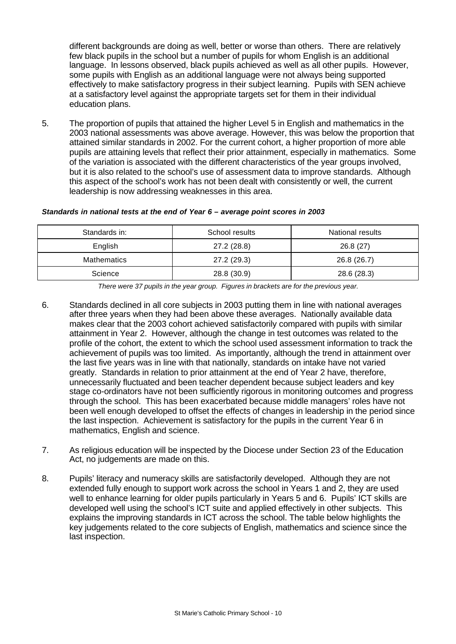different backgrounds are doing as well, better or worse than others. There are relatively few black pupils in the school but a number of pupils for whom English is an additional language. In lessons observed, black pupils achieved as well as all other pupils. However, some pupils with English as an additional language were not always being supported effectively to make satisfactory progress in their subject learning. Pupils with SEN achieve at a satisfactory level against the appropriate targets set for them in their individual education plans.

5. The proportion of pupils that attained the higher Level 5 in English and mathematics in the 2003 national assessments was above average. However, this was below the proportion that attained similar standards in 2002. For the current cohort, a higher proportion of more able pupils are attaining levels that reflect their prior attainment, especially in mathematics. Some of the variation is associated with the different characteristics of the year groups involved, but it is also related to the school's use of assessment data to improve standards. Although this aspect of the school's work has not been dealt with consistently or well, the current leadership is now addressing weaknesses in this area.

#### *Standards in national tests at the end of Year 6 – average point scores in 2003*

| Standards in:      | School results | National results |
|--------------------|----------------|------------------|
| English            | 27.2 (28.8)    | 26.8(27)         |
| <b>Mathematics</b> | 27.2 (29.3)    | 26.8 (26.7)      |
| Science            | 28.8 (30.9)    | 28.6 (28.3)      |

*There were 37 pupils in the year group. Figures in brackets are for the previous year.*

- 6. Standards declined in all core subjects in 2003 putting them in line with national averages after three years when they had been above these averages. Nationally available data makes clear that the 2003 cohort achieved satisfactorily compared with pupils with similar attainment in Year 2. However, although the change in test outcomes was related to the profile of the cohort, the extent to which the school used assessment information to track the achievement of pupils was too limited. As importantly, although the trend in attainment over the last five years was in line with that nationally, standards on intake have not varied greatly. Standards in relation to prior attainment at the end of Year 2 have, therefore, unnecessarily fluctuated and been teacher dependent because subject leaders and key stage co-ordinators have not been sufficiently rigorous in monitoring outcomes and progress through the school. This has been exacerbated because middle managers' roles have not been well enough developed to offset the effects of changes in leadership in the period since the last inspection. Achievement is satisfactory for the pupils in the current Year 6 in mathematics, English and science.
- 7. As religious education will be inspected by the Diocese under Section 23 of the Education Act, no judgements are made on this.
- 8. Pupils' literacy and numeracy skills are satisfactorily developed. Although they are not extended fully enough to support work across the school in Years 1 and 2, they are used well to enhance learning for older pupils particularly in Years 5 and 6. Pupils' ICT skills are developed well using the school's ICT suite and applied effectively in other subjects. This explains the improving standards in ICT across the school. The table below highlights the key judgements related to the core subjects of English, mathematics and science since the last inspection.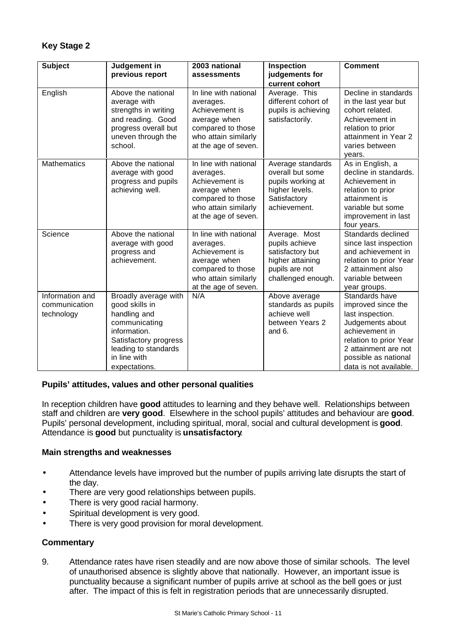| <b>Subject</b>                                 | Judgement in<br>previous report                                                                                                                                           | 2003 national<br>assessments                                                                                                              | Inspection<br>judgements for                                                                                    | <b>Comment</b>                                                                                                                                                                                     |
|------------------------------------------------|---------------------------------------------------------------------------------------------------------------------------------------------------------------------------|-------------------------------------------------------------------------------------------------------------------------------------------|-----------------------------------------------------------------------------------------------------------------|----------------------------------------------------------------------------------------------------------------------------------------------------------------------------------------------------|
| English                                        | Above the national<br>average with<br>strengths in writing<br>and reading. Good<br>progress overall but<br>uneven through the<br>school.                                  | In line with national<br>averages.<br>Achievement is<br>average when<br>compared to those<br>who attain similarly<br>at the age of seven. | current cohort<br>Average. This<br>different cohort of<br>pupils is achieving<br>satisfactorily.                | Decline in standards<br>in the last year but<br>cohort related.<br>Achievement in<br>relation to prior<br>attainment in Year 2<br>varies between<br>years.                                         |
| <b>Mathematics</b>                             | Above the national<br>average with good<br>progress and pupils<br>achieving well.                                                                                         | In line with national<br>averages.<br>Achievement is<br>average when<br>compared to those<br>who attain similarly<br>at the age of seven. | Average standards<br>overall but some<br>pupils working at<br>higher levels.<br>Satisfactory<br>achievement.    | As in English, a<br>decline in standards.<br>Achievement in<br>relation to prior<br>attainment is<br>variable but some<br>improvement in last<br>four years.                                       |
| Science                                        | Above the national<br>average with good<br>progress and<br>achievement.                                                                                                   | In line with national<br>averages.<br>Achievement is<br>average when<br>compared to those<br>who attain similarly<br>at the age of seven. | Average. Most<br>pupils achieve<br>satisfactory but<br>higher attaining<br>pupils are not<br>challenged enough. | Standards declined<br>since last inspection<br>and achievement in<br>relation to prior Year<br>2 attainment also<br>variable between<br>year groups.                                               |
| Information and<br>communication<br>technology | Broadly average with<br>good skills in<br>handling and<br>communicating<br>information.<br>Satisfactory progress<br>leading to standards<br>in line with<br>expectations. | N/A                                                                                                                                       | Above average<br>standards as pupils<br>achieve well<br>between Years 2<br>and 6.                               | Standards have<br>improved since the<br>last inspection.<br>Judgements about<br>achievement in<br>relation to prior Year<br>2 attainment are not<br>possible as national<br>data is not available. |

# **Pupils' attitudes, values and other personal qualities**

In reception children have **good** attitudes to learning and they behave well. Relationships between staff and children are **very good**.Elsewhere in the school pupils' attitudes and behaviour are **good**. Pupils' personal development, including spiritual, moral, social and cultural development is **good**. Attendance is **good** but punctuality is **unsatisfactory**.

# **Main strengths and weaknesses**

- Attendance levels have improved but the number of pupils arriving late disrupts the start of the day.
- There are very good relationships between pupils.
- There is very good racial harmony.
- Spiritual development is very good.
- There is very good provision for moral development.

# **Commentary**

9. Attendance rates have risen steadily and are now above those of similar schools. The level of unauthorised absence is slightly above that nationally. However, an important issue is punctuality because a significant number of pupils arrive at school as the bell goes or just after. The impact of this is felt in registration periods that are unnecessarily disrupted.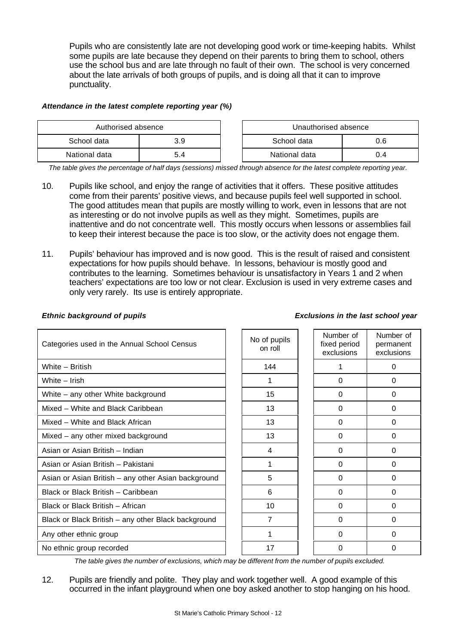Pupils who are consistently late are not developing good work or time-keeping habits. Whilst some pupils are late because they depend on their parents to bring them to school, others use the school bus and are late through no fault of their own. The school is very concerned about the late arrivals of both groups of pupils, and is doing all that it can to improve punctuality.

#### *Attendance in the latest complete reporting year (%)*

| Authorised absence |     | Unauthorised absence |  |
|--------------------|-----|----------------------|--|
| School data        | 3.9 | School data<br>ა.6   |  |
| National data      | 4.د | National data        |  |

*The table gives the percentage of half days (sessions) missed through absence for the latest complete reporting year.*

- 10. Pupils like school, and enjoy the range of activities that it offers. These positive attitudes come from their parents' positive views, and because pupils feel well supported in school. The good attitudes mean that pupils are mostly willing to work, even in lessons that are not as interesting or do not involve pupils as well as they might. Sometimes, pupils are inattentive and do not concentrate well. This mostly occurs when lessons or assemblies fail to keep their interest because the pace is too slow, or the activity does not engage them.
- 11. Pupils' behaviour has improved and is now good. This is the result of raised and consistent expectations for how pupils should behave. In lessons, behaviour is mostly good and contributes to the learning. Sometimes behaviour is unsatisfactory in Years 1 and 2 when teachers' expectations are too low or not clear. Exclusion is used in very extreme cases and only very rarely. Its use is entirely appropriate.

#### *Ethnic background of pupils Exclusions in the last school year*

| Categories used in the Annual School Census         | No of pupils<br>on roll | Number of<br>fixed period<br>exclusions | Number of<br>permanent<br>exclusions |
|-----------------------------------------------------|-------------------------|-----------------------------------------|--------------------------------------|
| White - British                                     | 144                     |                                         | $\Omega$                             |
| White - Irish                                       |                         | 0                                       | 0                                    |
| White - any other White background                  | 15                      | $\Omega$                                | $\Omega$                             |
| Mixed - White and Black Caribbean                   | 13                      | $\Omega$                                | $\Omega$                             |
| Mixed – White and Black African                     | 13                      | 0                                       | $\Omega$                             |
| Mixed - any other mixed background                  | 13                      | $\Omega$                                | $\Omega$                             |
| Asian or Asian British - Indian                     | 4                       | $\Omega$                                | $\Omega$                             |
| Asian or Asian British - Pakistani                  | 1                       | 0                                       | $\Omega$                             |
| Asian or Asian British - any other Asian background | 5                       | $\Omega$                                | $\Omega$                             |
| Black or Black British - Caribbean                  | 6                       | $\Omega$                                | $\Omega$                             |
| Black or Black British - African                    | 10                      | $\Omega$                                | $\Omega$                             |
| Black or Black British - any other Black background | 7                       | $\Omega$                                | 0                                    |
| Any other ethnic group                              |                         | $\Omega$                                | $\Omega$                             |
| No ethnic group recorded                            | 17                      | 0                                       | 0                                    |

*The table gives the number of exclusions, which may be different from the number of pupils excluded.*

12. Pupils are friendly and polite. They play and work together well. A good example of this occurred in the infant playground when one boy asked another to stop hanging on his hood.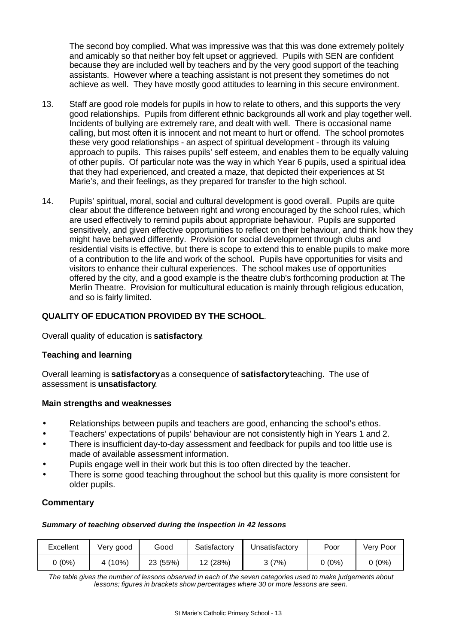The second boy complied. What was impressive was that this was done extremely politely and amicably so that neither boy felt upset or aggrieved. Pupils with SEN are confident because they are included well by teachers and by the very good support of the teaching assistants. However where a teaching assistant is not present they sometimes do not achieve as well. They have mostly good attitudes to learning in this secure environment.

- 13. Staff are good role models for pupils in how to relate to others, and this supports the very good relationships. Pupils from different ethnic backgrounds all work and play together well. Incidents of bullying are extremely rare, and dealt with well. There is occasional name calling, but most often it is innocent and not meant to hurt or offend. The school promotes these very good relationships - an aspect of spiritual development - through its valuing approach to pupils. This raises pupils' self esteem, and enables them to be equally valuing of other pupils. Of particular note was the way in which Year 6 pupils, used a spiritual idea that they had experienced, and created a maze, that depicted their experiences at St Marie's, and their feelings, as they prepared for transfer to the high school.
- 14. Pupils' spiritual, moral, social and cultural development is good overall. Pupils are quite clear about the difference between right and wrong encouraged by the school rules, which are used effectively to remind pupils about appropriate behaviour. Pupils are supported sensitively, and given effective opportunities to reflect on their behaviour, and think how they might have behaved differently. Provision for social development through clubs and residential visits is effective, but there is scope to extend this to enable pupils to make more of a contribution to the life and work of the school. Pupils have opportunities for visits and visitors to enhance their cultural experiences. The school makes use of opportunities offered by the city, and a good example is the theatre club's forthcoming production at The Merlin Theatre. Provision for multicultural education is mainly through religious education, and so is fairly limited.

# **QUALITY OF EDUCATION PROVIDED BY THE SCHOOL**.

Overall quality of education is **satisfactory**.

# **Teaching and learning**

Overall learning is **satisfactory** as a consequence of **satisfactory** teaching. The use of assessment is **unsatisfactory**.

#### **Main strengths and weaknesses**

- Relationships between pupils and teachers are good, enhancing the school's ethos.
- Teachers' expectations of pupils' behaviour are not consistently high in Years 1 and 2.
- There is insufficient day-to-day assessment and feedback for pupils and too little use is made of available assessment information.
- Pupils engage well in their work but this is too often directed by the teacher.
- There is some good teaching throughout the school but this quality is more consistent for older pupils.

# **Commentary**

#### *Summary of teaching observed during the inspection in 42 lessons*

| Excellent | Very good | Good     | Satisfactory | Unsatisfactory | Poor   | Verv Poor |
|-----------|-----------|----------|--------------|----------------|--------|-----------|
| (0%)      | 4 (10%)   | 23 (55%) | 12 (28%)     | კ (7%)         | 0 (0%) | $0(0\%)$  |

*The table gives the number of lessons observed in each of the seven categories used to make judgements about lessons; figures in brackets show percentages where 30 or more lessons are seen.*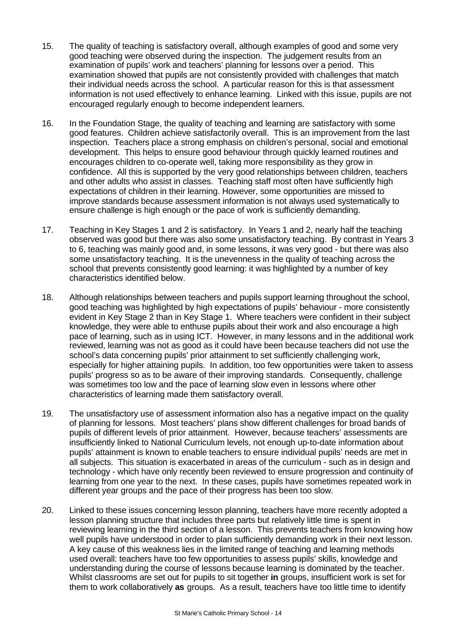- 15. The quality of teaching is satisfactory overall, although examples of good and some very good teaching were observed during the inspection. The judgement results from an examination of pupils' work and teachers' planning for lessons over a period. This examination showed that pupils are not consistently provided with challenges that match their individual needs across the school. A particular reason for this is that assessment information is not used effectively to enhance learning. Linked with this issue, pupils are not encouraged regularly enough to become independent learners.
- 16. In the Foundation Stage, the quality of teaching and learning are satisfactory with some good features. Children achieve satisfactorily overall. This is an improvement from the last inspection. Teachers place a strong emphasis on children's personal, social and emotional development. This helps to ensure good behaviour through quickly learned routines and encourages children to co-operate well, taking more responsibility as they grow in confidence. All this is supported by the very good relationships between children, teachers and other adults who assist in classes. Teaching staff most often have sufficiently high expectations of children in their learning. However, some opportunities are missed to improve standards because assessment information is not always used systematically to ensure challenge is high enough or the pace of work is sufficiently demanding.
- 17. Teaching in Key Stages 1 and 2 is satisfactory. In Years 1 and 2, nearly half the teaching observed was good but there was also some unsatisfactory teaching. By contrast in Years 3 to 6, teaching was mainly good and, in some lessons, it was very good - but there was also some unsatisfactory teaching. It is the unevenness in the quality of teaching across the school that prevents consistently good learning: it was highlighted by a number of key characteristics identified below.
- 18. Although relationships between teachers and pupils support learning throughout the school, good teaching was highlighted by high expectations of pupils' behaviour - more consistently evident in Key Stage 2 than in Key Stage 1. Where teachers were confident in their subject knowledge, they were able to enthuse pupils about their work and also encourage a high pace of learning, such as in using ICT. However, in many lessons and in the additional work reviewed, learning was not as good as it could have been because teachers did not use the school's data concerning pupils' prior attainment to set sufficiently challenging work, especially for higher attaining pupils. In addition, too few opportunities were taken to assess pupils' progress so as to be aware of their improving standards. Consequently, challenge was sometimes too low and the pace of learning slow even in lessons where other characteristics of learning made them satisfactory overall.
- 19. The unsatisfactory use of assessment information also has a negative impact on the quality of planning for lessons. Most teachers' plans show different challenges for broad bands of pupils of different levels of prior attainment. However, because teachers' assessments are insufficiently linked to National Curriculum levels, not enough up-to-date information about pupils' attainment is known to enable teachers to ensure individual pupils' needs are met in all subjects. This situation is exacerbated in areas of the curriculum - such as in design and technology - which have only recently been reviewed to ensure progression and continuity of learning from one year to the next. In these cases, pupils have sometimes repeated work in different year groups and the pace of their progress has been too slow.
- 20. Linked to these issues concerning lesson planning, teachers have more recently adopted a lesson planning structure that includes three parts but relatively little time is spent in reviewing learning in the third section of a lesson. This prevents teachers from knowing how well pupils have understood in order to plan sufficiently demanding work in their next lesson. A key cause of this weakness lies in the limited range of teaching and learning methods used overall: teachers have too few opportunities to assess pupils' skills, knowledge and understanding during the course of lessons because learning is dominated by the teacher. Whilst classrooms are set out for pupils to sit together **in** groups, insufficient work is set for them to work collaboratively **as** groups. As a result, teachers have too little time to identify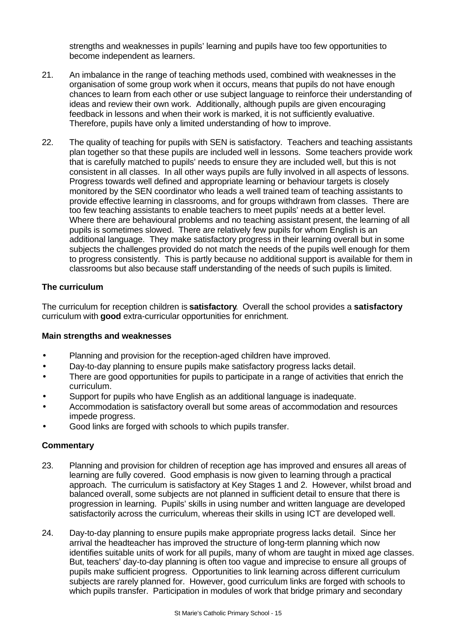strengths and weaknesses in pupils' learning and pupils have too few opportunities to become independent as learners.

- 21. An imbalance in the range of teaching methods used, combined with weaknesses in the organisation of some group work when it occurs, means that pupils do not have enough chances to learn from each other or use subject language to reinforce their understanding of ideas and review their own work. Additionally, although pupils are given encouraging feedback in lessons and when their work is marked, it is not sufficiently evaluative. Therefore, pupils have only a limited understanding of how to improve.
- 22. The quality of teaching for pupils with SEN is satisfactory. Teachers and teaching assistants plan together so that these pupils are included well in lessons. Some teachers provide work that is carefully matched to pupils' needs to ensure they are included well, but this is not consistent in all classes. In all other ways pupils are fully involved in all aspects of lessons. Progress towards well defined and appropriate learning or behaviour targets is closely monitored by the SEN coordinator who leads a well trained team of teaching assistants to provide effective learning in classrooms, and for groups withdrawn from classes. There are too few teaching assistants to enable teachers to meet pupils' needs at a better level. Where there are behavioural problems and no teaching assistant present, the learning of all pupils is sometimes slowed. There are relatively few pupils for whom English is an additional language. They make satisfactory progress in their learning overall but in some subjects the challenges provided do not match the needs of the pupils well enough for them to progress consistently. This is partly because no additional support is available for them in classrooms but also because staff understanding of the needs of such pupils is limited.

# **The curriculum**

The curriculum for reception children is **satisfactory**.Overall the school provides a **satisfactory** curriculum with **good** extra-curricular opportunities for enrichment.

#### **Main strengths and weaknesses**

- Planning and provision for the reception-aged children have improved.
- Day-to-day planning to ensure pupils make satisfactory progress lacks detail.
- There are good opportunities for pupils to participate in a range of activities that enrich the curriculum.
- Support for pupils who have English as an additional language is inadequate.
- Accommodation is satisfactory overall but some areas of accommodation and resources impede progress.
- Good links are forged with schools to which pupils transfer.

- 23. Planning and provision for children of reception age has improved and ensures all areas of learning are fully covered. Good emphasis is now given to learning through a practical approach. The curriculum is satisfactory at Key Stages 1 and 2. However, whilst broad and balanced overall, some subjects are not planned in sufficient detail to ensure that there is progression in learning. Pupils' skills in using number and written language are developed satisfactorily across the curriculum, whereas their skills in using ICT are developed well.
- 24. Day-to-day planning to ensure pupils make appropriate progress lacks detail. Since her arrival the headteacher has improved the structure of long-term planning which now identifies suitable units of work for all pupils, many of whom are taught in mixed age classes. But, teachers' day-to-day planning is often too vague and imprecise to ensure all groups of pupils make sufficient progress. Opportunities to link learning across different curriculum subjects are rarely planned for. However, good curriculum links are forged with schools to which pupils transfer. Participation in modules of work that bridge primary and secondary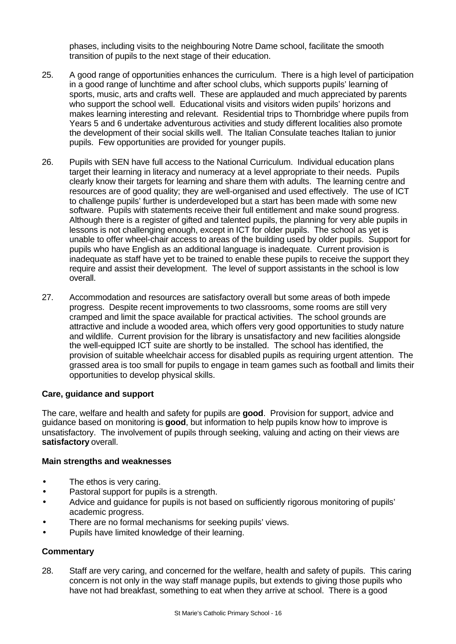phases, including visits to the neighbouring Notre Dame school, facilitate the smooth transition of pupils to the next stage of their education.

- 25. A good range of opportunities enhances the curriculum. There is a high level of participation in a good range of lunchtime and after school clubs, which supports pupils' learning of sports, music, arts and crafts well. These are applauded and much appreciated by parents who support the school well. Educational visits and visitors widen pupils' horizons and makes learning interesting and relevant. Residential trips to Thornbridge where pupils from Years 5 and 6 undertake adventurous activities and study different localities also promote the development of their social skills well. The Italian Consulate teaches Italian to junior pupils. Few opportunities are provided for younger pupils.
- 26. Pupils with SEN have full access to the National Curriculum. Individual education plans target their learning in literacy and numeracy at a level appropriate to their needs. Pupils clearly know their targets for learning and share them with adults. The learning centre and resources are of good quality; they are well-organised and used effectively. The use of ICT to challenge pupils' further is underdeveloped but a start has been made with some new software. Pupils with statements receive their full entitlement and make sound progress. Although there is a register of gifted and talented pupils, the planning for very able pupils in lessons is not challenging enough, except in ICT for older pupils. The school as yet is unable to offer wheel-chair access to areas of the building used by older pupils. Support for pupils who have English as an additional language is inadequate. Current provision is inadequate as staff have yet to be trained to enable these pupils to receive the support they require and assist their development. The level of support assistants in the school is low overall.
- 27. Accommodation and resources are satisfactory overall but some areas of both impede progress. Despite recent improvements to two classrooms, some rooms are still very cramped and limit the space available for practical activities. The school grounds are attractive and include a wooded area, which offers very good opportunities to study nature and wildlife. Current provision for the library is unsatisfactory and new facilities alongside the well-equipped ICT suite are shortly to be installed. The school has identified, the provision of suitable wheelchair access for disabled pupils as requiring urgent attention. The grassed area is too small for pupils to engage in team games such as football and limits their opportunities to develop physical skills.

# **Care, guidance and support**

The care, welfare and health and safety for pupils are **good**.Provision for support, advice and guidance based on monitoring is **good**, but information to help pupils know how to improve is unsatisfactory. The involvement of pupils through seeking, valuing and acting on their views are **satisfactory** overall.

#### **Main strengths and weaknesses**

- The ethos is very caring.
- Pastoral support for pupils is a strength.
- Advice and guidance for pupils is not based on sufficiently rigorous monitoring of pupils' academic progress.
- There are no formal mechanisms for seeking pupils' views.
- Pupils have limited knowledge of their learning.

#### **Commentary**

28. Staff are very caring, and concerned for the welfare, health and safety of pupils. This caring concern is not only in the way staff manage pupils, but extends to giving those pupils who have not had breakfast, something to eat when they arrive at school. There is a good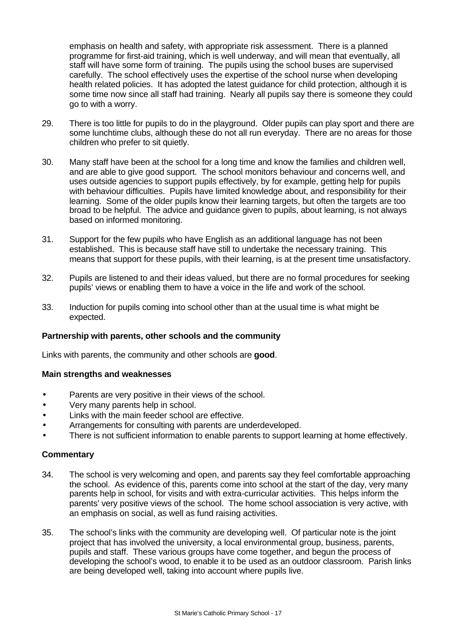emphasis on health and safety, with appropriate risk assessment. There is a planned programme for first-aid training, which is well underway, and will mean that eventually, all staff will have some form of training. The pupils using the school buses are supervised carefully. The school effectively uses the expertise of the school nurse when developing health related policies. It has adopted the latest guidance for child protection, although it is some time now since all staff had training. Nearly all pupils say there is someone they could go to with a worry.

- 29. There is too little for pupils to do in the playground. Older pupils can play sport and there are some lunchtime clubs, although these do not all run everyday. There are no areas for those children who prefer to sit quietly.
- 30. Many staff have been at the school for a long time and know the families and children well, and are able to give good support. The school monitors behaviour and concerns well, and uses outside agencies to support pupils effectively, by for example, getting help for pupils with behaviour difficulties. Pupils have limited knowledge about, and responsibility for their learning. Some of the older pupils know their learning targets, but often the targets are too broad to be helpful. The advice and guidance given to pupils, about learning, is not always based on informed monitoring.
- 31. Support for the few pupils who have English as an additional language has not been established. This is because staff have still to undertake the necessary training. This means that support for these pupils, with their learning, is at the present time unsatisfactory.
- 32. Pupils are listened to and their ideas valued, but there are no formal procedures for seeking pupils' views or enabling them to have a voice in the life and work of the school.
- 33. Induction for pupils coming into school other than at the usual time is what might be expected.

# **Partnership with parents, other schools and the community**

Links with parents, the community and other schools are **good**.

#### **Main strengths and weaknesses**

- Parents are very positive in their views of the school.
- Very many parents help in school.
- Links with the main feeder school are effective.
- Arrangements for consulting with parents are underdeveloped.
- There is not sufficient information to enable parents to support learning at home effectively.

- 34. The school is very welcoming and open, and parents say they feel comfortable approaching the school. As evidence of this, parents come into school at the start of the day, very many parents help in school, for visits and with extra-curricular activities. This helps inform the parents' very positive views of the school. The home school association is very active, with an emphasis on social, as well as fund raising activities.
- 35. The school's links with the community are developing well. Of particular note is the joint project that has involved the university, a local environmental group, business, parents, pupils and staff. These various groups have come together, and begun the process of developing the school's wood, to enable it to be used as an outdoor classroom. Parish links are being developed well, taking into account where pupils live.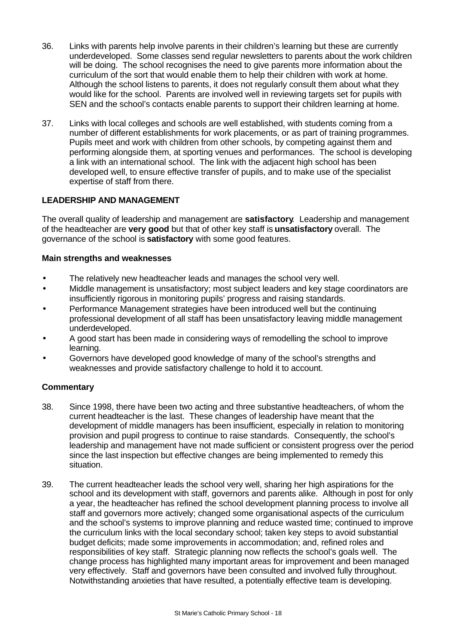- 36. Links with parents help involve parents in their children's learning but these are currently underdeveloped. Some classes send regular newsletters to parents about the work children will be doing. The school recognises the need to give parents more information about the curriculum of the sort that would enable them to help their children with work at home. Although the school listens to parents, it does not regularly consult them about what they would like for the school. Parents are involved well in reviewing targets set for pupils with SEN and the school's contacts enable parents to support their children learning at home.
- 37. Links with local colleges and schools are well established, with students coming from a number of different establishments for work placements, or as part of training programmes. Pupils meet and work with children from other schools, by competing against them and performing alongside them, at sporting venues and performances. The school is developing a link with an international school. The link with the adjacent high school has been developed well, to ensure effective transfer of pupils, and to make use of the specialist expertise of staff from there.

# **LEADERSHIP AND MANAGEMENT**

The overall quality of leadership and management are **satisfactory**.Leadership and management of the headteacher are **very good** but that of other key staff is **unsatisfactory** overall. The governance of the school is **satisfactory** with some good features.

#### **Main strengths and weaknesses**

- The relatively new headteacher leads and manages the school very well.
- Middle management is unsatisfactory; most subject leaders and key stage coordinators are insufficiently rigorous in monitoring pupils' progress and raising standards.
- Performance Management strategies have been introduced well but the continuing professional development of all staff has been unsatisfactory leaving middle management underdeveloped.
- A good start has been made in considering ways of remodelling the school to improve learning.
- Governors have developed good knowledge of many of the school's strengths and weaknesses and provide satisfactory challenge to hold it to account.

- 38. Since 1998, there have been two acting and three substantive headteachers, of whom the current headteacher is the last. These changes of leadership have meant that the development of middle managers has been insufficient, especially in relation to monitoring provision and pupil progress to continue to raise standards. Consequently, the school's leadership and management have not made sufficient or consistent progress over the period since the last inspection but effective changes are being implemented to remedy this situation.
- 39. The current headteacher leads the school very well, sharing her high aspirations for the school and its development with staff, governors and parents alike. Although in post for only a year, the headteacher has refined the school development planning process to involve all staff and governors more actively; changed some organisational aspects of the curriculum and the school's systems to improve planning and reduce wasted time; continued to improve the curriculum links with the local secondary school; taken key steps to avoid substantial budget deficits; made some improvements in accommodation; and, refined roles and responsibilities of key staff. Strategic planning now reflects the school's goals well. The change process has highlighted many important areas for improvement and been managed very effectively. Staff and governors have been consulted and involved fully throughout. Notwithstanding anxieties that have resulted, a potentially effective team is developing.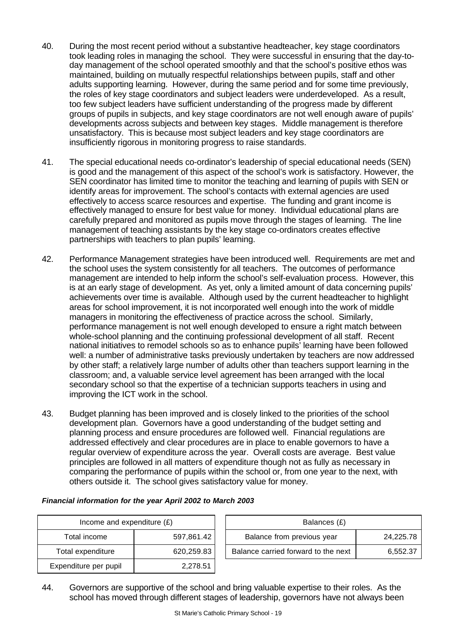- 40. During the most recent period without a substantive headteacher, key stage coordinators took leading roles in managing the school. They were successful in ensuring that the day-today management of the school operated smoothly and that the school's positive ethos was maintained, building on mutually respectful relationships between pupils, staff and other adults supporting learning. However, during the same period and for some time previously, the roles of key stage coordinators and subject leaders were underdeveloped. As a result, too few subject leaders have sufficient understanding of the progress made by different groups of pupils in subjects, and key stage coordinators are not well enough aware of pupils' developments across subjects and between key stages. Middle management is therefore unsatisfactory. This is because most subject leaders and key stage coordinators are insufficiently rigorous in monitoring progress to raise standards.
- 41. The special educational needs co-ordinator's leadership of special educational needs (SEN) is good and the management of this aspect of the school's work is satisfactory. However, the SEN coordinator has limited time to monitor the teaching and learning of pupils with SEN or identify areas for improvement. The school's contacts with external agencies are used effectively to access scarce resources and expertise. The funding and grant income is effectively managed to ensure for best value for money. Individual educational plans are carefully prepared and monitored as pupils move through the stages of learning. The line management of teaching assistants by the key stage co-ordinators creates effective partnerships with teachers to plan pupils' learning.
- 42. Performance Management strategies have been introduced well. Requirements are met and the school uses the system consistently for all teachers. The outcomes of performance management are intended to help inform the school's self-evaluation process. However, this is at an early stage of development. As yet, only a limited amount of data concerning pupils' achievements over time is available. Although used by the current headteacher to highlight areas for school improvement, it is not incorporated well enough into the work of middle managers in monitoring the effectiveness of practice across the school. Similarly, performance management is not well enough developed to ensure a right match between whole-school planning and the continuing professional development of all staff. Recent national initiatives to remodel schools so as to enhance pupils' learning have been followed well: a number of administrative tasks previously undertaken by teachers are now addressed by other staff; a relatively large number of adults other than teachers support learning in the classroom; and, a valuable service level agreement has been arranged with the local secondary school so that the expertise of a technician supports teachers in using and improving the ICT work in the school.
- 43. Budget planning has been improved and is closely linked to the priorities of the school development plan. Governors have a good understanding of the budget setting and planning process and ensure procedures are followed well. Financial regulations are addressed effectively and clear procedures are in place to enable governors to have a regular overview of expenditure across the year. Overall costs are average. Best value principles are followed in all matters of expenditure though not as fully as necessary in comparing the performance of pupils within the school or, from one year to the next, with others outside it. The school gives satisfactory value for money.

| Income and expenditure $(E)$ |            | Balances (£)                        |           |
|------------------------------|------------|-------------------------------------|-----------|
| Total income                 | 597,861.42 | Balance from previous year          | 24,225.78 |
| Total expenditure            | 620,259.83 | Balance carried forward to the next | 6,552.37  |
| Expenditure per pupil        | 2,278.51   |                                     |           |

*Financial information for the year April 2002 to March 2003*

|        | Balances (£)               |  |
|--------|----------------------------|--|
| 861.42 | Balance from previous year |  |
|        |                            |  |

44. Governors are supportive of the school and bring valuable expertise to their roles. As the school has moved through different stages of leadership, governors have not always been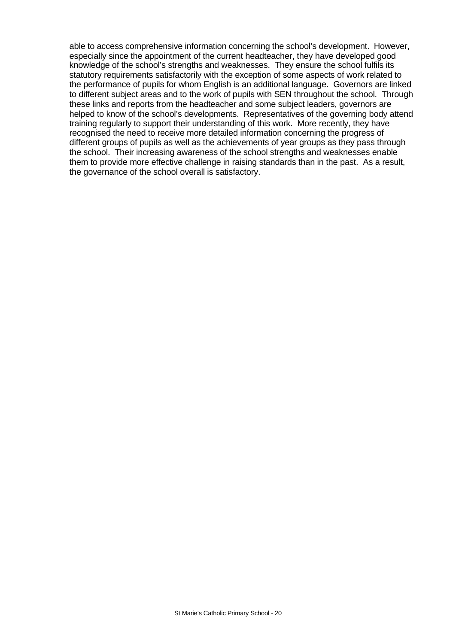able to access comprehensive information concerning the school's development. However, especially since the appointment of the current headteacher, they have developed good knowledge of the school's strengths and weaknesses. They ensure the school fulfils its statutory requirements satisfactorily with the exception of some aspects of work related to the performance of pupils for whom English is an additional language. Governors are linked to different subject areas and to the work of pupils with SEN throughout the school. Through these links and reports from the headteacher and some subject leaders, governors are helped to know of the school's developments. Representatives of the governing body attend training regularly to support their understanding of this work. More recently, they have recognised the need to receive more detailed information concerning the progress of different groups of pupils as well as the achievements of year groups as they pass through the school. Their increasing awareness of the school strengths and weaknesses enable them to provide more effective challenge in raising standards than in the past. As a result, the governance of the school overall is satisfactory.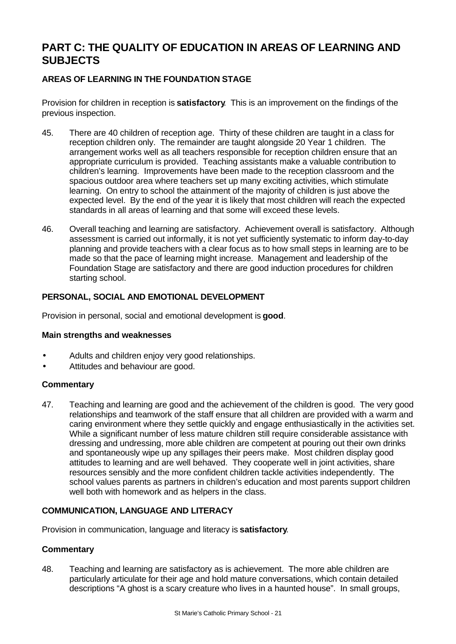# **PART C: THE QUALITY OF EDUCATION IN AREAS OF LEARNING AND SUBJECTS**

# **AREAS OF LEARNING IN THE FOUNDATION STAGE**

Provision for children in reception is **satisfactory**.This is an improvement on the findings of the previous inspection.

- 45. There are 40 children of reception age. Thirty of these children are taught in a class for reception children only. The remainder are taught alongside 20 Year 1 children. The arrangement works well as all teachers responsible for reception children ensure that an appropriate curriculum is provided. Teaching assistants make a valuable contribution to children's learning. Improvements have been made to the reception classroom and the spacious outdoor area where teachers set up many exciting activities, which stimulate learning. On entry to school the attainment of the majority of children is just above the expected level. By the end of the year it is likely that most children will reach the expected standards in all areas of learning and that some will exceed these levels.
- 46. Overall teaching and learning are satisfactory. Achievement overall is satisfactory. Although assessment is carried out informally, it is not yet sufficiently systematic to inform day-to-day planning and provide teachers with a clear focus as to how small steps in learning are to be made so that the pace of learning might increase. Management and leadership of the Foundation Stage are satisfactory and there are good induction procedures for children starting school.

# **PERSONAL, SOCIAL AND EMOTIONAL DEVELOPMENT**

Provision in personal, social and emotional development is **good**.

#### **Main strengths and weaknesses**

- Adults and children enjoy very good relationships.
- Attitudes and behaviour are good.

# **Commentary**

47. Teaching and learning are good and the achievement of the children is good. The very good relationships and teamwork of the staff ensure that all children are provided with a warm and caring environment where they settle quickly and engage enthusiastically in the activities set. While a significant number of less mature children still require considerable assistance with dressing and undressing, more able children are competent at pouring out their own drinks and spontaneously wipe up any spillages their peers make. Most children display good attitudes to learning and are well behaved. They cooperate well in joint activities, share resources sensibly and the more confident children tackle activities independently. The school values parents as partners in children's education and most parents support children well both with homework and as helpers in the class.

# **COMMUNICATION, LANGUAGE AND LITERACY**

Provision in communication, language and literacy is **satisfactory**.

# **Commentary**

48. Teaching and learning are satisfactory as is achievement. The more able children are particularly articulate for their age and hold mature conversations, which contain detailed descriptions "A ghost is a scary creature who lives in a haunted house". In small groups,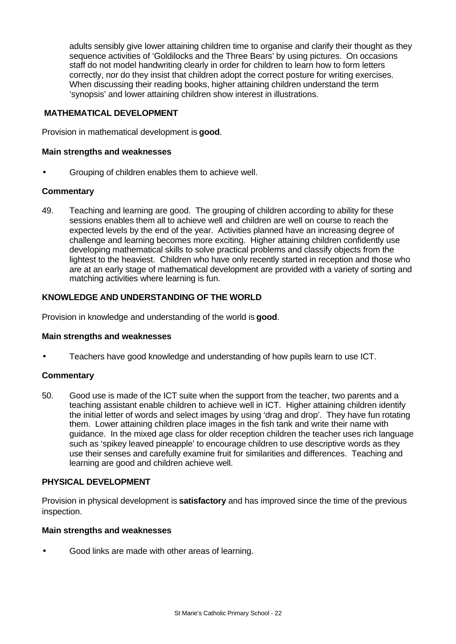adults sensibly give lower attaining children time to organise and clarify their thought as they sequence activities of 'Goldilocks and the Three Bears' by using pictures. On occasions staff do not model handwriting clearly in order for children to learn how to form letters correctly, nor do they insist that children adopt the correct posture for writing exercises. When discussing their reading books, higher attaining children understand the term 'synopsis' and lower attaining children show interest in illustrations.

# **MATHEMATICAL DEVELOPMENT**

Provision in mathematical development is **good**.

#### **Main strengths and weaknesses**

• Grouping of children enables them to achieve well.

#### **Commentary**

49. Teaching and learning are good. The grouping of children according to ability for these sessions enables them all to achieve well and children are well on course to reach the expected levels by the end of the year. Activities planned have an increasing degree of challenge and learning becomes more exciting. Higher attaining children confidently use developing mathematical skills to solve practical problems and classify objects from the lightest to the heaviest. Children who have only recently started in reception and those who are at an early stage of mathematical development are provided with a variety of sorting and matching activities where learning is fun.

#### **KNOWLEDGE AND UNDERSTANDING OF THE WORLD**

Provision in knowledge and understanding of the world is **good**.

#### **Main strengths and weaknesses**

• Teachers have good knowledge and understanding of how pupils learn to use ICT.

#### **Commentary**

50. Good use is made of the ICT suite when the support from the teacher, two parents and a teaching assistant enable children to achieve well in ICT. Higher attaining children identify the initial letter of words and select images by using 'drag and drop'. They have fun rotating them. Lower attaining children place images in the fish tank and write their name with guidance. In the mixed age class for older reception children the teacher uses rich language such as 'spikey leaved pineapple' to encourage children to use descriptive words as they use their senses and carefully examine fruit for similarities and differences. Teaching and learning are good and children achieve well.

# **PHYSICAL DEVELOPMENT**

Provision in physical development is **satisfactory** and has improved since the time of the previous inspection.

#### **Main strengths and weaknesses**

• Good links are made with other areas of learning.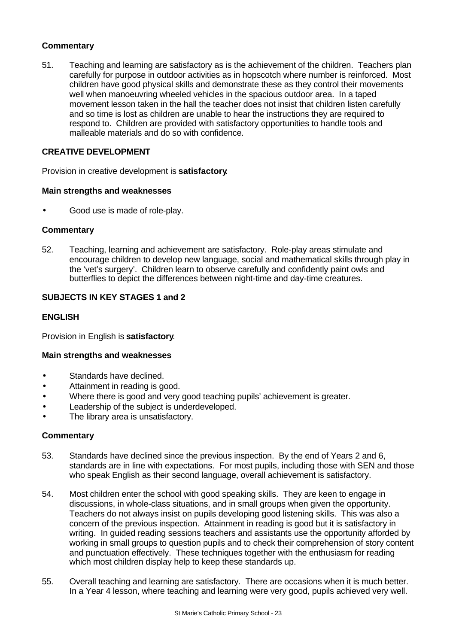# **Commentary**

51. Teaching and learning are satisfactory as is the achievement of the children. Teachers plan carefully for purpose in outdoor activities as in hopscotch where number is reinforced. Most children have good physical skills and demonstrate these as they control their movements well when manoeuvring wheeled vehicles in the spacious outdoor area. In a taped movement lesson taken in the hall the teacher does not insist that children listen carefully and so time is lost as children are unable to hear the instructions they are required to respond to. Children are provided with satisfactory opportunities to handle tools and malleable materials and do so with confidence.

# **CREATIVE DEVELOPMENT**

Provision in creative development is **satisfactory**.

#### **Main strengths and weaknesses**

• Good use is made of role-play.

#### **Commentary**

52. Teaching, learning and achievement are satisfactory. Role-play areas stimulate and encourage children to develop new language, social and mathematical skills through play in the 'vet's surgery'. Children learn to observe carefully and confidently paint owls and butterflies to depict the differences between night-time and day-time creatures.

# **SUBJECTS IN KEY STAGES 1 and 2**

# **ENGLISH**

Provision in English is **satisfactory**.

# **Main strengths and weaknesses**

- Standards have declined.
- Attainment in reading is good.
- Where there is good and very good teaching pupils' achievement is greater.
- Leadership of the subject is underdeveloped.
- The library area is unsatisfactory.

- 53. Standards have declined since the previous inspection. By the end of Years 2 and 6, standards are in line with expectations. For most pupils, including those with SEN and those who speak English as their second language, overall achievement is satisfactory.
- 54. Most children enter the school with good speaking skills. They are keen to engage in discussions, in whole-class situations, and in small groups when given the opportunity. Teachers do not always insist on pupils developing good listening skills. This was also a concern of the previous inspection. Attainment in reading is good but it is satisfactory in writing. In guided reading sessions teachers and assistants use the opportunity afforded by working in small groups to question pupils and to check their comprehension of story content and punctuation effectively. These techniques together with the enthusiasm for reading which most children display help to keep these standards up.
- 55. Overall teaching and learning are satisfactory. There are occasions when it is much better. In a Year 4 lesson, where teaching and learning were very good, pupils achieved very well.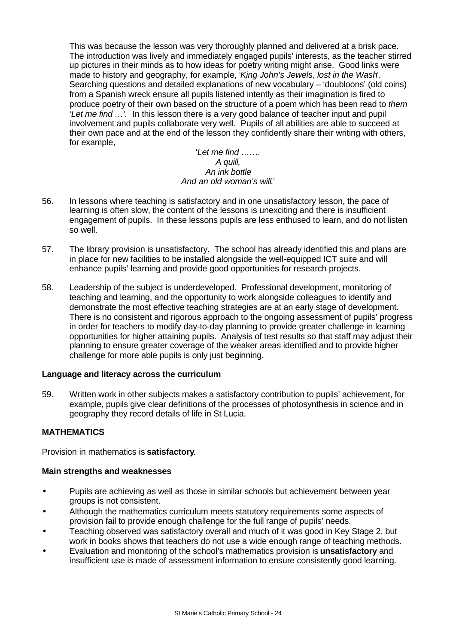This was because the lesson was very thoroughly planned and delivered at a brisk pace. The introduction was lively and immediately engaged pupils' interests, as the teacher stirred up pictures in their minds as to how ideas for poetry writing might arise. Good links were made to history and geography, for example, '*King John's Jewels, lost in the Wash*'. Searching questions and detailed explanations of new vocabulary – 'doubloons' (old coins) from a Spanish wreck ensure all pupils listened intently as their imagination is fired to produce poetry of their own based on the structure of a poem which has been read to *them 'Let me find …'.* In this lesson there is a very good balance of teacher input and pupil involvement and pupils collaborate very well. Pupils of all abilities are able to succeed at their own pace and at the end of the lesson they confidently share their writing with others, for example,

#### '*Let me find ……. A quill, An ink bottle And an old woman's will*.'

- 56. In lessons where teaching is satisfactory and in one unsatisfactory lesson, the pace of learning is often slow, the content of the lessons is unexciting and there is insufficient engagement of pupils. In these lessons pupils are less enthused to learn, and do not listen so well.
- 57. The library provision is unsatisfactory. The school has already identified this and plans are in place for new facilities to be installed alongside the well-equipped ICT suite and will enhance pupils' learning and provide good opportunities for research projects.
- 58. Leadership of the subject is underdeveloped. Professional development, monitoring of teaching and learning, and the opportunity to work alongside colleagues to identify and demonstrate the most effective teaching strategies are at an early stage of development. There is no consistent and rigorous approach to the ongoing assessment of pupils' progress in order for teachers to modify day-to-day planning to provide greater challenge in learning opportunities for higher attaining pupils. Analysis of test results so that staff may adjust their planning to ensure greater coverage of the weaker areas identified and to provide higher challenge for more able pupils is only just beginning.

# **Language and literacy across the curriculum**

59. Written work in other subjects makes a satisfactory contribution to pupils' achievement, for example, pupils give clear definitions of the processes of photosynthesis in science and in geography they record details of life in St Lucia.

# **MATHEMATICS**

Provision in mathematics is **satisfactory**.

# **Main strengths and weaknesses**

- Pupils are achieving as well as those in similar schools but achievement between year groups is not consistent.
- Although the mathematics curriculum meets statutory requirements some aspects of provision fail to provide enough challenge for the full range of pupils' needs.
- Teaching observed was satisfactory overall and much of it was good in Key Stage 2, but work in books shows that teachers do not use a wide enough range of teaching methods.
- Evaluation and monitoring of the school's mathematics provision is **unsatisfactory** and insufficient use is made of assessment information to ensure consistently good learning.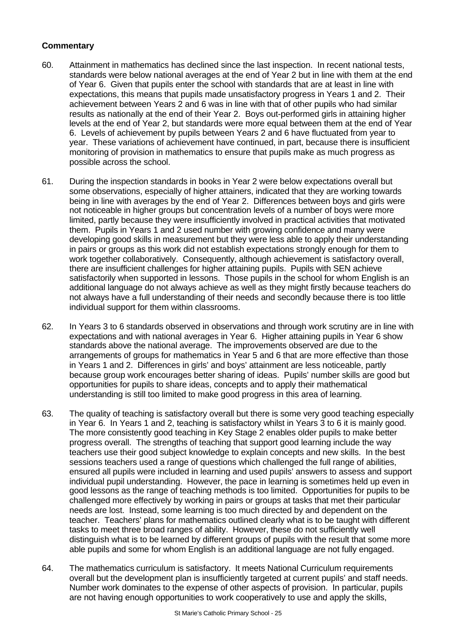- 60. Attainment in mathematics has declined since the last inspection. In recent national tests, standards were below national averages at the end of Year 2 but in line with them at the end of Year 6. Given that pupils enter the school with standards that are at least in line with expectations, this means that pupils made unsatisfactory progress in Years 1 and 2. Their achievement between Years 2 and 6 was in line with that of other pupils who had similar results as nationally at the end of their Year 2. Boys out-performed girls in attaining higher levels at the end of Year 2, but standards were more equal between them at the end of Year 6. Levels of achievement by pupils between Years 2 and 6 have fluctuated from year to year. These variations of achievement have continued, in part, because there is insufficient monitoring of provision in mathematics to ensure that pupils make as much progress as possible across the school.
- 61. During the inspection standards in books in Year 2 were below expectations overall but some observations, especially of higher attainers, indicated that they are working towards being in line with averages by the end of Year 2. Differences between boys and girls were not noticeable in higher groups but concentration levels of a number of boys were more limited, partly because they were insufficiently involved in practical activities that motivated them. Pupils in Years 1 and 2 used number with growing confidence and many were developing good skills in measurement but they were less able to apply their understanding in pairs or groups as this work did not establish expectations strongly enough for them to work together collaboratively. Consequently, although achievement is satisfactory overall, there are insufficient challenges for higher attaining pupils. Pupils with SEN achieve satisfactorily when supported in lessons. Those pupils in the school for whom English is an additional language do not always achieve as well as they might firstly because teachers do not always have a full understanding of their needs and secondly because there is too little individual support for them within classrooms.
- 62. In Years 3 to 6 standards observed in observations and through work scrutiny are in line with expectations and with national averages in Year 6. Higher attaining pupils in Year 6 show standards above the national average. The improvements observed are due to the arrangements of groups for mathematics in Year 5 and 6 that are more effective than those in Years 1 and 2. Differences in girls' and boys' attainment are less noticeable, partly because group work encourages better sharing of ideas. Pupils' number skills are good but opportunities for pupils to share ideas, concepts and to apply their mathematical understanding is still too limited to make good progress in this area of learning.
- 63. The quality of teaching is satisfactory overall but there is some very good teaching especially in Year 6. In Years 1 and 2, teaching is satisfactory whilst in Years 3 to 6 it is mainly good. The more consistently good teaching in Key Stage 2 enables older pupils to make better progress overall. The strengths of teaching that support good learning include the way teachers use their good subject knowledge to explain concepts and new skills. In the best sessions teachers used a range of questions which challenged the full range of abilities, ensured all pupils were included in learning and used pupils' answers to assess and support individual pupil understanding. However, the pace in learning is sometimes held up even in good lessons as the range of teaching methods is too limited. Opportunities for pupils to be challenged more effectively by working in pairs or groups at tasks that met their particular needs are lost. Instead, some learning is too much directed by and dependent on the teacher. Teachers' plans for mathematics outlined clearly what is to be taught with different tasks to meet three broad ranges of ability. However, these do not sufficiently well distinguish what is to be learned by different groups of pupils with the result that some more able pupils and some for whom English is an additional language are not fully engaged.
- 64. The mathematics curriculum is satisfactory. It meets National Curriculum requirements overall but the development plan is insufficiently targeted at current pupils' and staff needs. Number work dominates to the expense of other aspects of provision. In particular, pupils are not having enough opportunities to work cooperatively to use and apply the skills,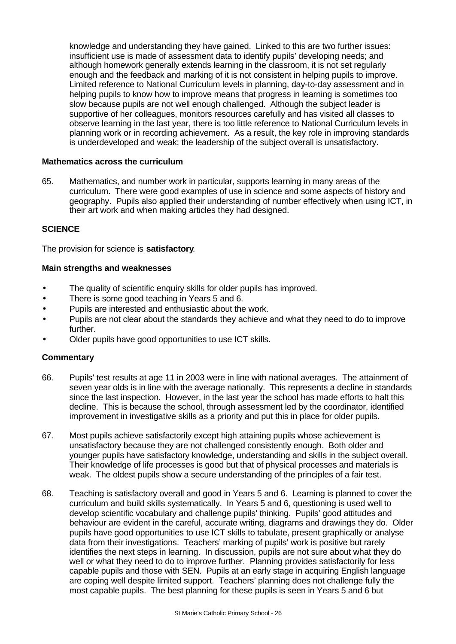knowledge and understanding they have gained. Linked to this are two further issues: insufficient use is made of assessment data to identify pupils' developing needs; and although homework generally extends learning in the classroom, it is not set regularly enough and the feedback and marking of it is not consistent in helping pupils to improve. Limited reference to National Curriculum levels in planning, day-to-day assessment and in helping pupils to know how to improve means that progress in learning is sometimes too slow because pupils are not well enough challenged. Although the subject leader is supportive of her colleagues, monitors resources carefully and has visited all classes to observe learning in the last year, there is too little reference to National Curriculum levels in planning work or in recording achievement. As a result, the key role in improving standards is underdeveloped and weak; the leadership of the subject overall is unsatisfactory.

#### **Mathematics across the curriculum**

65. Mathematics, and number work in particular, supports learning in many areas of the curriculum. There were good examples of use in science and some aspects of history and geography. Pupils also applied their understanding of number effectively when using ICT, in their art work and when making articles they had designed.

# **SCIENCE**

The provision for science is **satisfactory**.

#### **Main strengths and weaknesses**

- The quality of scientific enquiry skills for older pupils has improved.
- There is some good teaching in Years 5 and 6.
- Pupils are interested and enthusiastic about the work.
- Pupils are not clear about the standards they achieve and what they need to do to improve further.
- Older pupils have good opportunities to use ICT skills.

- 66. Pupils' test results at age 11 in 2003 were in line with national averages. The attainment of seven year olds is in line with the average nationally. This represents a decline in standards since the last inspection. However, in the last year the school has made efforts to halt this decline. This is because the school, through assessment led by the coordinator, identified improvement in investigative skills as a priority and put this in place for older pupils.
- 67. Most pupils achieve satisfactorily except high attaining pupils whose achievement is unsatisfactory because they are not challenged consistently enough. Both older and younger pupils have satisfactory knowledge, understanding and skills in the subject overall. Their knowledge of life processes is good but that of physical processes and materials is weak. The oldest pupils show a secure understanding of the principles of a fair test.
- 68. Teaching is satisfactory overall and good in Years 5 and 6. Learning is planned to cover the curriculum and build skills systematically. In Years 5 and 6, questioning is used well to develop scientific vocabulary and challenge pupils' thinking. Pupils' good attitudes and behaviour are evident in the careful, accurate writing, diagrams and drawings they do. Older pupils have good opportunities to use ICT skills to tabulate, present graphically or analyse data from their investigations. Teachers' marking of pupils' work is positive but rarely identifies the next steps in learning. In discussion, pupils are not sure about what they do well or what they need to do to improve further. Planning provides satisfactorily for less capable pupils and those with SEN. Pupils at an early stage in acquiring English language are coping well despite limited support. Teachers' planning does not challenge fully the most capable pupils. The best planning for these pupils is seen in Years 5 and 6 but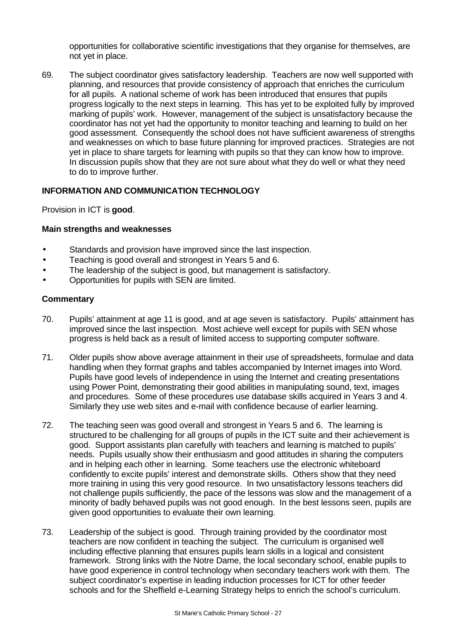opportunities for collaborative scientific investigations that they organise for themselves, are not yet in place.

69. The subject coordinator gives satisfactory leadership. Teachers are now well supported with planning, and resources that provide consistency of approach that enriches the curriculum for all pupils. A national scheme of work has been introduced that ensures that pupils progress logically to the next steps in learning. This has yet to be exploited fully by improved marking of pupils' work. However, management of the subject is unsatisfactory because the coordinator has not yet had the opportunity to monitor teaching and learning to build on her good assessment. Consequently the school does not have sufficient awareness of strengths and weaknesses on which to base future planning for improved practices. Strategies are not yet in place to share targets for learning with pupils so that they can know how to improve. In discussion pupils show that they are not sure about what they do well or what they need to do to improve further.

#### **INFORMATION AND COMMUNICATION TECHNOLOGY**

Provision in ICT is **good**.

#### **Main strengths and weaknesses**

- Standards and provision have improved since the last inspection.
- Teaching is good overall and strongest in Years 5 and 6.
- The leadership of the subject is good, but management is satisfactory.
- Opportunities for pupils with SEN are limited.

- 70. Pupils' attainment at age 11 is good, and at age seven is satisfactory. Pupils' attainment has improved since the last inspection. Most achieve well except for pupils with SEN whose progress is held back as a result of limited access to supporting computer software.
- 71. Older pupils show above average attainment in their use of spreadsheets, formulae and data handling when they format graphs and tables accompanied by Internet images into Word. Pupils have good levels of independence in using the Internet and creating presentations using Power Point, demonstrating their good abilities in manipulating sound, text, images and procedures. Some of these procedures use database skills acquired in Years 3 and 4. Similarly they use web sites and e-mail with confidence because of earlier learning.
- 72. The teaching seen was good overall and strongest in Years 5 and 6. The learning is structured to be challenging for all groups of pupils in the ICT suite and their achievement is good. Support assistants plan carefully with teachers and learning is matched to pupils' needs. Pupils usually show their enthusiasm and good attitudes in sharing the computers and in helping each other in learning. Some teachers use the electronic whiteboard confidently to excite pupils' interest and demonstrate skills. Others show that they need more training in using this very good resource. In two unsatisfactory lessons teachers did not challenge pupils sufficiently, the pace of the lessons was slow and the management of a minority of badly behaved pupils was not good enough. In the best lessons seen, pupils are given good opportunities to evaluate their own learning.
- 73. Leadership of the subject is good. Through training provided by the coordinator most teachers are now confident in teaching the subject. The curriculum is organised well including effective planning that ensures pupils learn skills in a logical and consistent framework. Strong links with the Notre Dame, the local secondary school, enable pupils to have good experience in control technology when secondary teachers work with them. The subject coordinator's expertise in leading induction processes for ICT for other feeder schools and for the Sheffield e-Learning Strategy helps to enrich the school's curriculum.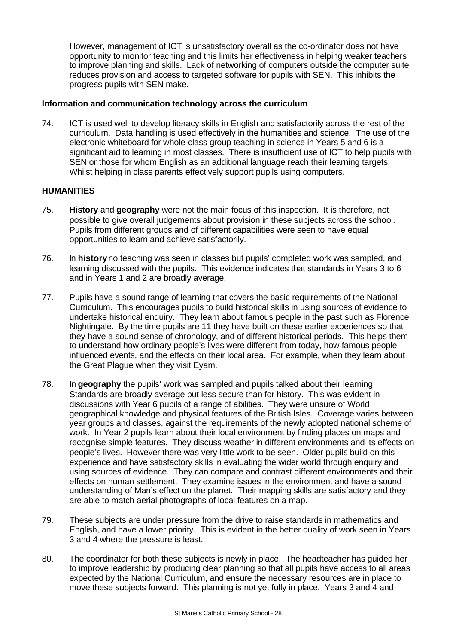However, management of ICT is unsatisfactory overall as the co-ordinator does not have opportunity to monitor teaching and this limits her effectiveness in helping weaker teachers to improve planning and skills. Lack of networking of computers outside the computer suite reduces provision and access to targeted software for pupils with SEN. This inhibits the progress pupils with SEN make.

#### **Information and communication technology across the curriculum**

74. ICT is used well to develop literacy skills in English and satisfactorily across the rest of the curriculum. Data handling is used effectively in the humanities and science. The use of the electronic whiteboard for whole-class group teaching in science in Years 5 and 6 is a significant aid to learning in most classes. There is insufficient use of ICT to help pupils with SEN or those for whom English as an additional language reach their learning targets. Whilst helping in class parents effectively support pupils using computers.

#### **HUMANITIES**

- 75. **History** and **geography** were not the main focus of this inspection. It is therefore, not possible to give overall judgements about provision in these subjects across the school. Pupils from different groups and of different capabilities were seen to have equal opportunities to learn and achieve satisfactorily.
- 76. In **history** no teaching was seen in classes but pupils' completed work was sampled, and learning discussed with the pupils. This evidence indicates that standards in Years 3 to 6 and in Years 1 and 2 are broadly average.
- 77. Pupils have a sound range of learning that covers the basic requirements of the National Curriculum. This encourages pupils to build historical skills in using sources of evidence to undertake historical enquiry. They learn about famous people in the past such as Florence Nightingale. By the time pupils are 11 they have built on these earlier experiences so that they have a sound sense of chronology, and of different historical periods. This helps them to understand how ordinary people's lives were different from today, how famous people influenced events, and the effects on their local area. For example, when they learn about the Great Plague when they visit Eyam.
- 78. In **geography** the pupils' work was sampled and pupils talked about their learning. Standards are broadly average but less secure than for history. This was evident in discussions with Year 6 pupils of a range of abilities. They were unsure of World geographical knowledge and physical features of the British Isles. Coverage varies between year groups and classes, against the requirements of the newly adopted national scheme of work. In Year 2 pupils learn about their local environment by finding places on maps and recognise simple features. They discuss weather in different environments and its effects on people's lives. However there was very little work to be seen. Older pupils build on this experience and have satisfactory skills in evaluating the wider world through enquiry and using sources of evidence. They can compare and contrast different environments and their effects on human settlement. They examine issues in the environment and have a sound understanding of Man's effect on the planet. Their mapping skills are satisfactory and they are able to match aerial photographs of local features on a map.
- 79. These subjects are under pressure from the drive to raise standards in mathematics and English, and have a lower priority. This is evident in the better quality of work seen in Years 3 and 4 where the pressure is least.
- 80. The coordinator for both these subjects is newly in place. The headteacher has guided her to improve leadership by producing clear planning so that all pupils have access to all areas expected by the National Curriculum, and ensure the necessary resources are in place to move these subjects forward. This planning is not yet fully in place. Years 3 and 4 and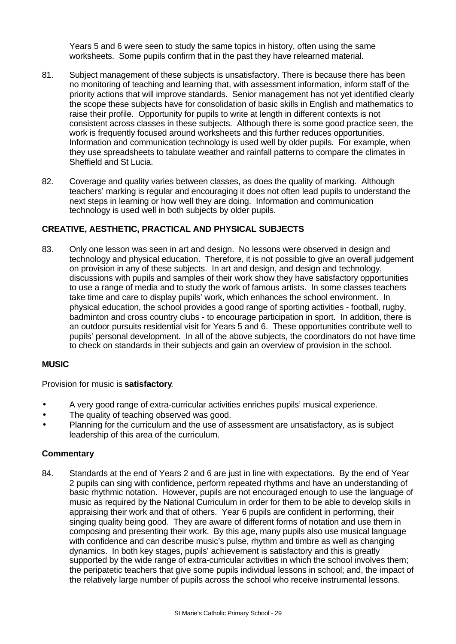Years 5 and 6 were seen to study the same topics in history, often using the same worksheets. Some pupils confirm that in the past they have relearned material.

- 81. Subject management of these subjects is unsatisfactory. There is because there has been no monitoring of teaching and learning that, with assessment information, inform staff of the priority actions that will improve standards. Senior management has not yet identified clearly the scope these subjects have for consolidation of basic skills in English and mathematics to raise their profile. Opportunity for pupils to write at length in different contexts is not consistent across classes in these subjects. Although there is some good practice seen, the work is frequently focused around worksheets and this further reduces opportunities. Information and communication technology is used well by older pupils. For example, when they use spreadsheets to tabulate weather and rainfall patterns to compare the climates in Sheffield and St Lucia.
- 82. Coverage and quality varies between classes, as does the quality of marking. Although teachers' marking is regular and encouraging it does not often lead pupils to understand the next steps in learning or how well they are doing. Information and communication technology is used well in both subjects by older pupils.

#### **CREATIVE, AESTHETIC, PRACTICAL AND PHYSICAL SUBJECTS**

83. Only one lesson was seen in art and design. No lessons were observed in design and technology and physical education. Therefore, it is not possible to give an overall judgement on provision in any of these subjects. In art and design, and design and technology, discussions with pupils and samples of their work show they have satisfactory opportunities to use a range of media and to study the work of famous artists. In some classes teachers take time and care to display pupils' work, which enhances the school environment. In physical education, the school provides a good range of sporting activities - football, rugby, badminton and cross country clubs - to encourage participation in sport. In addition, there is an outdoor pursuits residential visit for Years 5 and 6. These opportunities contribute well to pupils' personal development. In all of the above subjects, the coordinators do not have time to check on standards in their subjects and gain an overview of provision in the school.

#### **MUSIC**

Provision for music is **satisfactory**.

- A very good range of extra-curricular activities enriches pupils' musical experience.
- The quality of teaching observed was good.
- Planning for the curriculum and the use of assessment are unsatisfactory, as is subject leadership of this area of the curriculum.

#### **Commentary**

84. Standards at the end of Years 2 and 6 are just in line with expectations. By the end of Year 2 pupils can sing with confidence, perform repeated rhythms and have an understanding of basic rhythmic notation. However, pupils are not encouraged enough to use the language of music as required by the National Curriculum in order for them to be able to develop skills in appraising their work and that of others. Year 6 pupils are confident in performing, their singing quality being good. They are aware of different forms of notation and use them in composing and presenting their work. By this age, many pupils also use musical language with confidence and can describe music's pulse, rhythm and timbre as well as changing dynamics. In both key stages, pupils' achievement is satisfactory and this is greatly supported by the wide range of extra-curricular activities in which the school involves them; the peripatetic teachers that give some pupils individual lessons in school; and, the impact of the relatively large number of pupils across the school who receive instrumental lessons.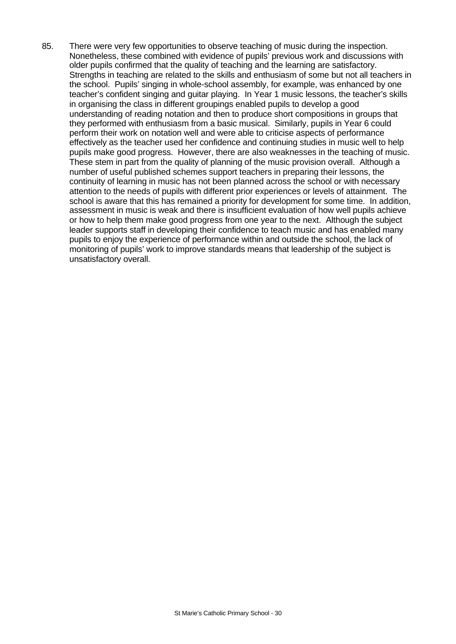85. There were very few opportunities to observe teaching of music during the inspection. Nonetheless, these combined with evidence of pupils' previous work and discussions with older pupils confirmed that the quality of teaching and the learning are satisfactory. Strengths in teaching are related to the skills and enthusiasm of some but not all teachers in the school. Pupils' singing in whole-school assembly, for example, was enhanced by one teacher's confident singing and guitar playing. In Year 1 music lessons, the teacher's skills in organising the class in different groupings enabled pupils to develop a good understanding of reading notation and then to produce short compositions in groups that they performed with enthusiasm from a basic musical. Similarly, pupils in Year 6 could perform their work on notation well and were able to criticise aspects of performance effectively as the teacher used her confidence and continuing studies in music well to help pupils make good progress. However, there are also weaknesses in the teaching of music. These stem in part from the quality of planning of the music provision overall. Although a number of useful published schemes support teachers in preparing their lessons, the continuity of learning in music has not been planned across the school or with necessary attention to the needs of pupils with different prior experiences or levels of attainment. The school is aware that this has remained a priority for development for some time. In addition, assessment in music is weak and there is insufficient evaluation of how well pupils achieve or how to help them make good progress from one year to the next. Although the subject leader supports staff in developing their confidence to teach music and has enabled many pupils to enjoy the experience of performance within and outside the school, the lack of monitoring of pupils' work to improve standards means that leadership of the subject is unsatisfactory overall.